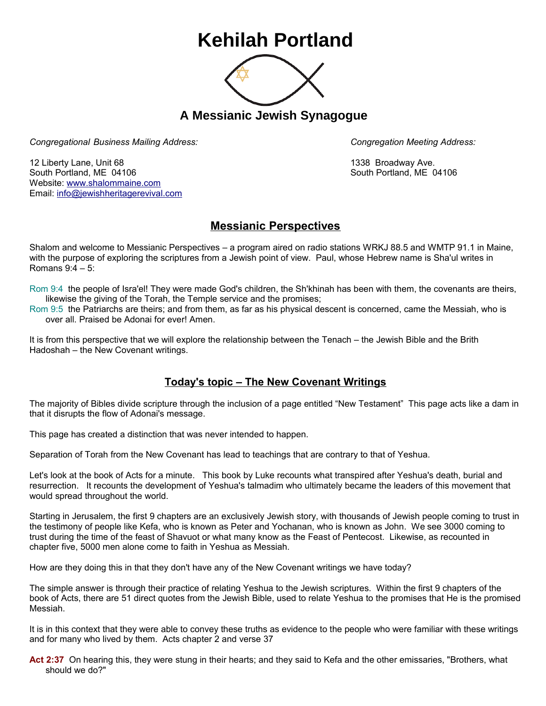## **Kehilah Portland**



**A Messianic Jewish Synagogue** 

*Congregational Business Mailing Address: Congregation Meeting Address:*

12 Liberty Lane, Unit 68 1338 Broadway Ave. South Portland, ME 04106 South Portland, ME 04106 Website: [www.shalommaine.com](http://www.shalommaine.com/) Email: [info@jewishheritagerevival.com](mailto:info@jewishheritagerevival.com) 

## **Messianic Perspectives**

Shalom and welcome to Messianic Perspectives – a program aired on radio stations WRKJ 88.5 and WMTP 91.1 in Maine, with the purpose of exploring the scriptures from a Jewish point of view. Paul, whose Hebrew name is Sha'ul writes in Romans 9:4 – 5:

Rom 9:4 the people of Isra'el! They were made God's children, the Sh'khinah has been with them, the covenants are theirs, likewise the giving of the Torah, the Temple service and the promises;

Rom 9:5 the Patriarchs are theirs; and from them, as far as his physical descent is concerned, came the Messiah, who is over all. Praised be Adonai for ever! Amen.

It is from this perspective that we will explore the relationship between the Tenach – the Jewish Bible and the Brith Hadoshah – the New Covenant writings.

## **Today's topic – The New Covenant Writings**

The majority of Bibles divide scripture through the inclusion of a page entitled "New Testament" This page acts like a dam in that it disrupts the flow of Adonai's message.

This page has created a distinction that was never intended to happen.

Separation of Torah from the New Covenant has lead to teachings that are contrary to that of Yeshua.

Let's look at the book of Acts for a minute. This book by Luke recounts what transpired after Yeshua's death, burial and resurrection. It recounts the development of Yeshua's talmadim who ultimately became the leaders of this movement that would spread throughout the world.

Starting in Jerusalem, the first 9 chapters are an exclusively Jewish story, with thousands of Jewish people coming to trust in the testimony of people like Kefa, who is known as Peter and Yochanan, who is known as John. We see 3000 coming to trust during the time of the feast of Shavuot or what many know as the Feast of Pentecost. Likewise, as recounted in chapter five, 5000 men alone come to faith in Yeshua as Messiah.

How are they doing this in that they don't have any of the New Covenant writings we have today?

The simple answer is through their practice of relating Yeshua to the Jewish scriptures. Within the first 9 chapters of the book of Acts, there are 51 direct quotes from the Jewish Bible, used to relate Yeshua to the promises that He is the promised Messiah.

It is in this context that they were able to convey these truths as evidence to the people who were familiar with these writings and for many who lived by them. Acts chapter 2 and verse 37

**Act 2:37** On hearing this, they were stung in their hearts; and they said to Kefa and the other emissaries, "Brothers, what should we do?"